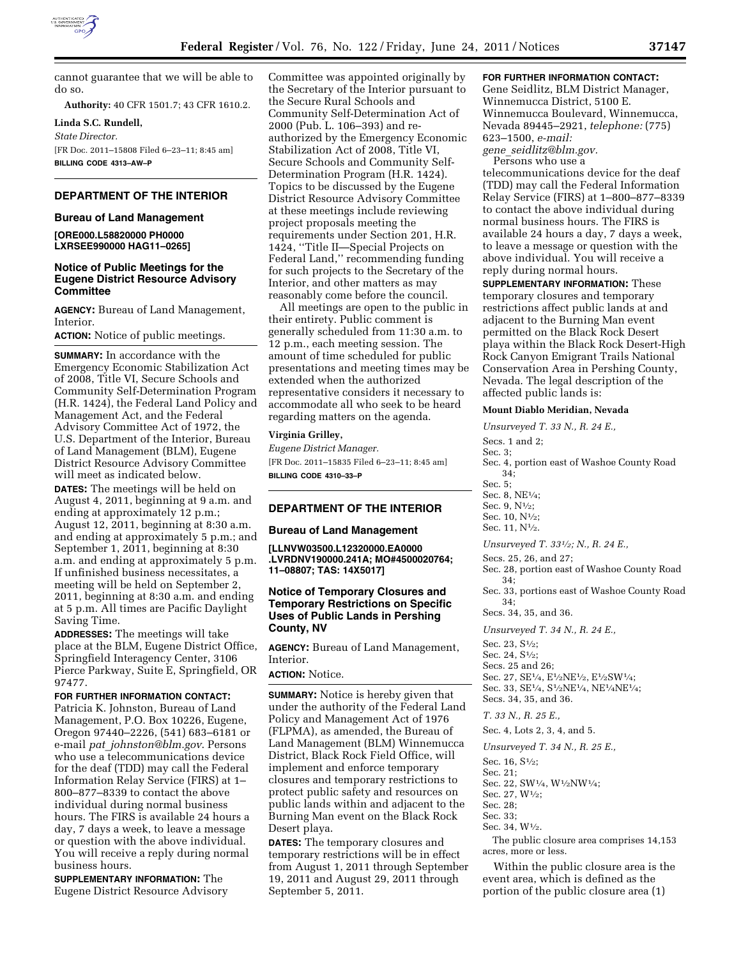

cannot guarantee that we will be able to do so.

**Authority:** 40 CFR 1501.7; 43 CFR 1610.2.

**Linda S.C. Rundell,**  *State Director.*  [FR Doc. 2011–15808 Filed 6–23–11; 8:45 am]

**BILLING CODE 4313–AW–P** 

## **DEPARTMENT OF THE INTERIOR**

#### **Bureau of Land Management**

**[ORE000.L58820000 PH0000 LXRSEE990000 HAG11–0265]** 

# **Notice of Public Meetings for the Eugene District Resource Advisory Committee**

**AGENCY:** Bureau of Land Management, Interior.

**ACTION:** Notice of public meetings.

**SUMMARY:** In accordance with the Emergency Economic Stabilization Act of 2008, Title VI, Secure Schools and Community Self-Determination Program (H.R. 1424), the Federal Land Policy and Management Act, and the Federal Advisory Committee Act of 1972, the U.S. Department of the Interior, Bureau of Land Management (BLM), Eugene District Resource Advisory Committee will meet as indicated below.

**DATES:** The meetings will be held on August 4, 2011, beginning at 9 a.m. and ending at approximately 12 p.m.; August 12, 2011, beginning at 8:30 a.m. and ending at approximately 5 p.m.; and September 1, 2011, beginning at 8:30 a.m. and ending at approximately 5 p.m. If unfinished business necessitates, a meeting will be held on September 2, 2011, beginning at 8:30 a.m. and ending at 5 p.m. All times are Pacific Daylight Saving Time.

**ADDRESSES:** The meetings will take place at the BLM, Eugene District Office, Springfield Interagency Center, 3106 Pierce Parkway, Suite E, Springfield, OR 97477.

#### **FOR FURTHER INFORMATION CONTACT:**

Patricia K. Johnston, Bureau of Land Management, P.O. Box 10226, Eugene, Oregon 97440–2226, (541) 683–6181 or e-mail *pat*\_*[johnston@blm.gov](mailto:pat_johnston@blm.gov)*. Persons who use a telecommunications device for the deaf (TDD) may call the Federal Information Relay Service (FIRS) at 1– 800–877–8339 to contact the above individual during normal business hours. The FIRS is available 24 hours a day, 7 days a week, to leave a message or question with the above individual. You will receive a reply during normal business hours.

**SUPPLEMENTARY INFORMATION:** The Eugene District Resource Advisory Committee was appointed originally by the Secretary of the Interior pursuant to the Secure Rural Schools and Community Self-Determination Act of 2000 (Pub. L. 106–393) and reauthorized by the Emergency Economic Stabilization Act of 2008, Title VI, Secure Schools and Community Self-Determination Program (H.R. 1424). Topics to be discussed by the Eugene District Resource Advisory Committee at these meetings include reviewing project proposals meeting the requirements under Section 201, H.R. 1424, ''Title II—Special Projects on Federal Land,'' recommending funding for such projects to the Secretary of the Interior, and other matters as may reasonably come before the council.

All meetings are open to the public in their entirety. Public comment is generally scheduled from 11:30 a.m. to 12 p.m., each meeting session. The amount of time scheduled for public presentations and meeting times may be extended when the authorized representative considers it necessary to accommodate all who seek to be heard regarding matters on the agenda.

#### **Virginia Grilley,**

*Eugene District Manager.*  [FR Doc. 2011–15835 Filed 6–23–11; 8:45 am] **BILLING CODE 4310–33–P** 

# **DEPARTMENT OF THE INTERIOR**

### **Bureau of Land Management**

**[LLNVW03500.L12320000.EA0000 .LVRDNV190000.241A; MO#4500020764; 11–08807; TAS: 14X5017]** 

# **Notice of Temporary Closures and Temporary Restrictions on Specific Uses of Public Lands in Pershing County, NV**

**AGENCY:** Bureau of Land Management, Interior.

# **ACTION:** Notice.

**SUMMARY:** Notice is hereby given that under the authority of the Federal Land Policy and Management Act of 1976 (FLPMA), as amended, the Bureau of Land Management (BLM) Winnemucca District, Black Rock Field Office, will implement and enforce temporary closures and temporary restrictions to protect public safety and resources on public lands within and adjacent to the Burning Man event on the Black Rock Desert playa.

**DATES:** The temporary closures and temporary restrictions will be in effect from August 1, 2011 through September 19, 2011 and August 29, 2011 through September 5, 2011.

# **FOR FURTHER INFORMATION CONTACT:**

Gene Seidlitz, BLM District Manager, Winnemucca District, 5100 E. Winnemucca Boulevard, Winnemucca, Nevada 89445–2921, *telephone:* (775) 623–1500, *e-mail: gene*\_*[seidlitz@blm.gov.](mailto:gene_seidlitz@blm.gov)* 

Persons who use a

telecommunications device for the deaf (TDD) may call the Federal Information Relay Service (FIRS) at 1–800–877–8339 to contact the above individual during normal business hours. The FIRS is available 24 hours a day, 7 days a week, to leave a message or question with the above individual. You will receive a reply during normal hours.

**SUPPLEMENTARY INFORMATION:** These temporary closures and temporary restrictions affect public lands at and adjacent to the Burning Man event permitted on the Black Rock Desert playa within the Black Rock Desert-High Rock Canyon Emigrant Trails National Conservation Area in Pershing County, Nevada. The legal description of the affected public lands is:

#### **Mount Diablo Meridian, Nevada**

*Unsurveyed T. 33 N., R. 24 E.,*  Secs. 1 and 2; Sec. 3; Sec. 4, portion east of Washoe County Road 34; Sec. 5; Sec. 8, NE1⁄4; Sec. 9, N1⁄2; Sec. 10, N1⁄2; Sec. 11, N1⁄2.

*Unsurveyed T. 331⁄2; N., R. 24 E.,* 

Secs. 25, 26, and 27;

Sec. 28, portion east of Washoe County Road 34;

Sec. 33, portions east of Washoe County Road 34;

Secs. 34, 35, and 36.

*Unsurveyed T. 34 N., R. 24 E.,* 

Sec. 23, S1⁄2; Sec. 24, S1⁄2; Secs. 25 and 26; Sec. 27, SE1⁄4, E1⁄2NE1⁄2, E1⁄2SW1⁄4; Sec. 33, SE1⁄4, S1⁄2NE1⁄4, NE1⁄4NE1⁄4; Secs. 34, 35, and 36.

*T. 33 N., R. 25 E.,* 

Sec. 4, Lots 2, 3, 4, and 5.

*Unsurveyed T. 34 N., R. 25 E.,* 

Sec. 16, S1⁄2;

Sec. 21;

Sec. 22, SW1⁄4, W1⁄2NW1⁄4;

Sec. 27, W1⁄2; Sec. 28;

Sec. 33;

Sec. 34, W1⁄2.

The public closure area comprises 14,153 acres, more or less.

Within the public closure area is the event area, which is defined as the portion of the public closure area (1)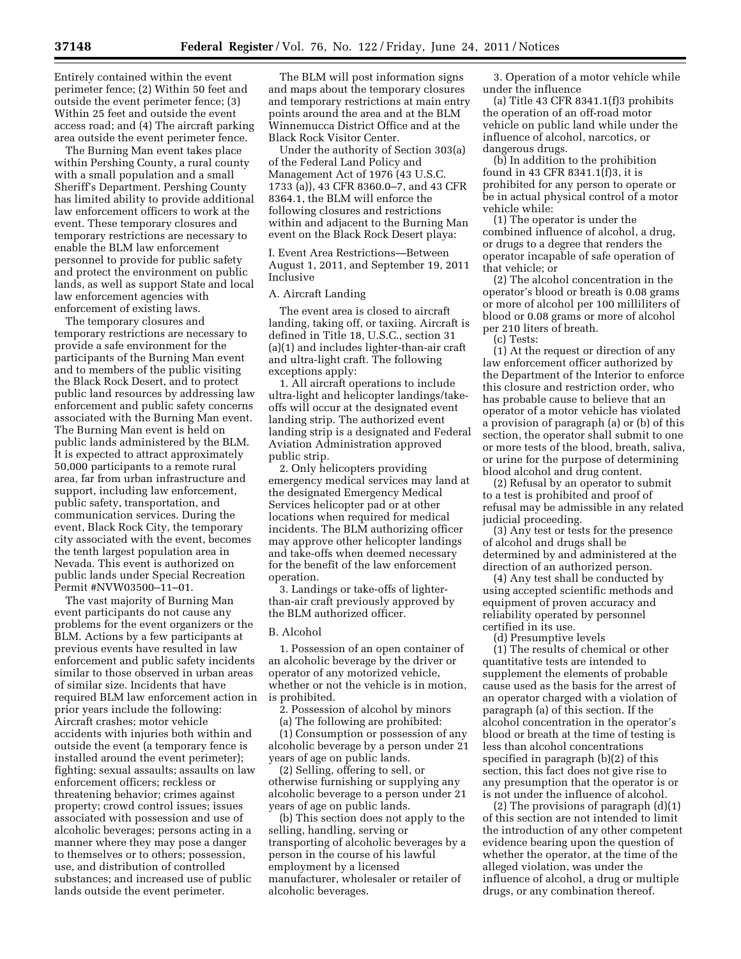Entirely contained within the event perimeter fence; (2) Within 50 feet and outside the event perimeter fence; (3) Within 25 feet and outside the event access road; and (4) The aircraft parking area outside the event perimeter fence.

The Burning Man event takes place within Pershing County, a rural county with a small population and a small Sheriff's Department. Pershing County has limited ability to provide additional law enforcement officers to work at the event. These temporary closures and temporary restrictions are necessary to enable the BLM law enforcement personnel to provide for public safety and protect the environment on public lands, as well as support State and local law enforcement agencies with enforcement of existing laws.

The temporary closures and temporary restrictions are necessary to provide a safe environment for the participants of the Burning Man event and to members of the public visiting the Black Rock Desert, and to protect public land resources by addressing law enforcement and public safety concerns associated with the Burning Man event. The Burning Man event is held on public lands administered by the BLM. It is expected to attract approximately 50,000 participants to a remote rural area, far from urban infrastructure and support, including law enforcement, public safety, transportation, and communication services. During the event, Black Rock City, the temporary city associated with the event, becomes the tenth largest population area in Nevada. This event is authorized on public lands under Special Recreation Permit #NVW03500–11–01.

The vast majority of Burning Man event participants do not cause any problems for the event organizers or the BLM. Actions by a few participants at previous events have resulted in law enforcement and public safety incidents similar to those observed in urban areas of similar size. Incidents that have required BLM law enforcement action in prior years include the following: Aircraft crashes; motor vehicle accidents with injuries both within and outside the event (a temporary fence is installed around the event perimeter); fighting; sexual assaults; assaults on law enforcement officers; reckless or threatening behavior; crimes against property; crowd control issues; issues associated with possession and use of alcoholic beverages; persons acting in a manner where they may pose a danger to themselves or to others; possession, use, and distribution of controlled substances; and increased use of public lands outside the event perimeter.

The BLM will post information signs and maps about the temporary closures and temporary restrictions at main entry points around the area and at the BLM Winnemucca District Office and at the Black Rock Visitor Center.

Under the authority of Section 303(a) of the Federal Land Policy and Management Act of 1976 (43 U.S.C. 1733 (a)), 43 CFR 8360.0–7, and 43 CFR 8364.1, the BLM will enforce the following closures and restrictions within and adjacent to the Burning Man event on the Black Rock Desert playa:

I. Event Area Restrictions—Between August 1, 2011, and September 19, 2011 Inclusive

# A. Aircraft Landing

The event area is closed to aircraft landing, taking off, or taxiing. Aircraft is defined in Title 18, U.S.C., section 31 (a)(1) and includes lighter-than-air craft and ultra-light craft. The following exceptions apply:

1. All aircraft operations to include ultra-light and helicopter landings/takeoffs will occur at the designated event landing strip. The authorized event landing strip is a designated and Federal Aviation Administration approved public strip.

2. Only helicopters providing emergency medical services may land at the designated Emergency Medical Services helicopter pad or at other locations when required for medical incidents. The BLM authorizing officer may approve other helicopter landings and take-offs when deemed necessary for the benefit of the law enforcement operation.

3. Landings or take-offs of lighterthan-air craft previously approved by the BLM authorized officer.

#### B. Alcohol

1. Possession of an open container of an alcoholic beverage by the driver or operator of any motorized vehicle, whether or not the vehicle is in motion, is prohibited.

2. Possession of alcohol by minors

(a) The following are prohibited: (1) Consumption or possession of any alcoholic beverage by a person under 21 years of age on public lands.

(2) Selling, offering to sell, or otherwise furnishing or supplying any alcoholic beverage to a person under 21 years of age on public lands.

(b) This section does not apply to the selling, handling, serving or transporting of alcoholic beverages by a person in the course of his lawful employment by a licensed manufacturer, wholesaler or retailer of alcoholic beverages.

3. Operation of a motor vehicle while under the influence

(a) Title 43 CFR 8341.1(f)3 prohibits the operation of an off-road motor vehicle on public land while under the influence of alcohol, narcotics, or dangerous drugs.

(b) In addition to the prohibition found in 43 CFR 8341.1(f)3, it is prohibited for any person to operate or be in actual physical control of a motor vehicle while:

(1) The operator is under the combined influence of alcohol, a drug, or drugs to a degree that renders the operator incapable of safe operation of that vehicle; or

(2) The alcohol concentration in the operator's blood or breath is 0.08 grams or more of alcohol per 100 milliliters of blood or 0.08 grams or more of alcohol per 210 liters of breath.

(c) Tests:

(1) At the request or direction of any law enforcement officer authorized by the Department of the Interior to enforce this closure and restriction order, who has probable cause to believe that an operator of a motor vehicle has violated a provision of paragraph (a) or (b) of this section, the operator shall submit to one or more tests of the blood, breath, saliva, or urine for the purpose of determining blood alcohol and drug content.

(2) Refusal by an operator to submit to a test is prohibited and proof of refusal may be admissible in any related judicial proceeding.

(3) Any test or tests for the presence of alcohol and drugs shall be determined by and administered at the direction of an authorized person.

(4) Any test shall be conducted by using accepted scientific methods and equipment of proven accuracy and reliability operated by personnel certified in its use.

(d) Presumptive levels

(1) The results of chemical or other quantitative tests are intended to supplement the elements of probable cause used as the basis for the arrest of an operator charged with a violation of paragraph (a) of this section. If the alcohol concentration in the operator's blood or breath at the time of testing is less than alcohol concentrations specified in paragraph (b)(2) of this section, this fact does not give rise to any presumption that the operator is or is not under the influence of alcohol.

(2) The provisions of paragraph (d)(1) of this section are not intended to limit the introduction of any other competent evidence bearing upon the question of whether the operator, at the time of the alleged violation, was under the influence of alcohol, a drug or multiple drugs, or any combination thereof.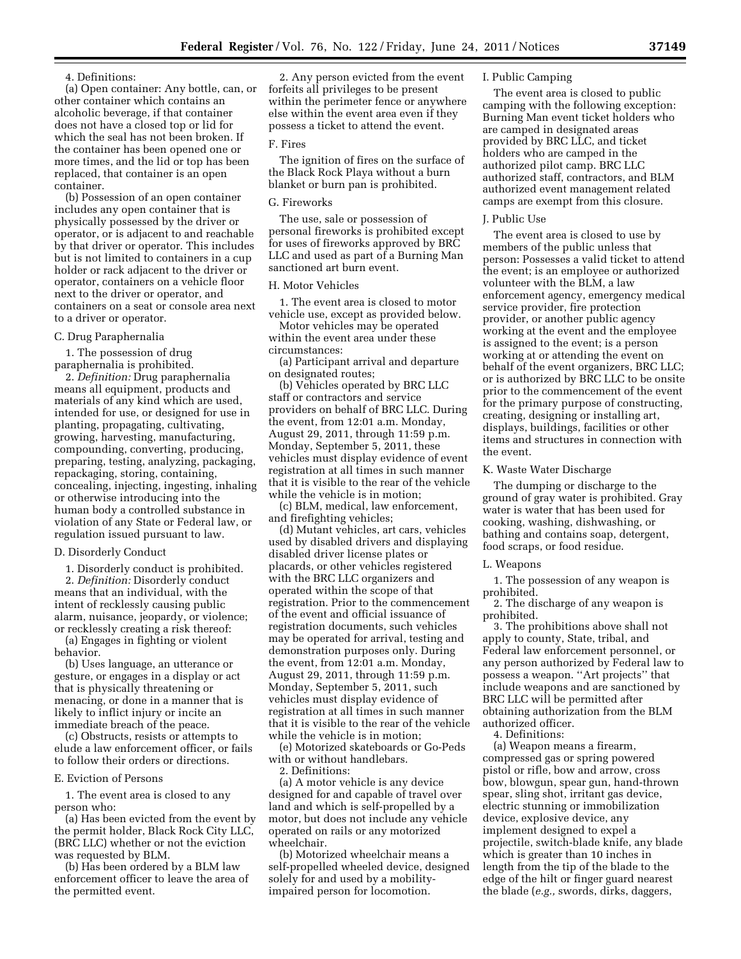4. Definitions:

(a) Open container: Any bottle, can, or other container which contains an alcoholic beverage, if that container does not have a closed top or lid for which the seal has not been broken. If the container has been opened one or more times, and the lid or top has been replaced, that container is an open container.

(b) Possession of an open container includes any open container that is physically possessed by the driver or operator, or is adjacent to and reachable by that driver or operator. This includes but is not limited to containers in a cup holder or rack adjacent to the driver or operator, containers on a vehicle floor next to the driver or operator, and containers on a seat or console area next to a driver or operator.

#### C. Drug Paraphernalia

1. The possession of drug paraphernalia is prohibited.

2. *Definition:* Drug paraphernalia means all equipment, products and materials of any kind which are used, intended for use, or designed for use in planting, propagating, cultivating, growing, harvesting, manufacturing, compounding, converting, producing, preparing, testing, analyzing, packaging, repackaging, storing, containing, concealing, injecting, ingesting, inhaling or otherwise introducing into the human body a controlled substance in violation of any State or Federal law, or regulation issued pursuant to law.

### D. Disorderly Conduct

1. Disorderly conduct is prohibited.

2. *Definition:* Disorderly conduct means that an individual, with the intent of recklessly causing public alarm, nuisance, jeopardy, or violence; or recklessly creating a risk thereof:

(a) Engages in fighting or violent behavior.

(b) Uses language, an utterance or gesture, or engages in a display or act that is physically threatening or menacing, or done in a manner that is likely to inflict injury or incite an immediate breach of the peace.

(c) Obstructs, resists or attempts to elude a law enforcement officer, or fails to follow their orders or directions.

### E. Eviction of Persons

1. The event area is closed to any person who:

(a) Has been evicted from the event by the permit holder, Black Rock City LLC, (BRC LLC) whether or not the eviction was requested by BLM.

(b) Has been ordered by a BLM law enforcement officer to leave the area of the permitted event.

2. Any person evicted from the event forfeits all privileges to be present within the perimeter fence or anywhere else within the event area even if they possess a ticket to attend the event.

### F. Fires

The ignition of fires on the surface of the Black Rock Playa without a burn blanket or burn pan is prohibited.

# G. Fireworks

The use, sale or possession of personal fireworks is prohibited except for uses of fireworks approved by BRC LLC and used as part of a Burning Man sanctioned art burn event.

# H. Motor Vehicles

1. The event area is closed to motor vehicle use, except as provided below.

Motor vehicles may be operated within the event area under these circumstances:

(a) Participant arrival and departure on designated routes;

(b) Vehicles operated by BRC LLC staff or contractors and service providers on behalf of BRC LLC. During the event, from 12:01 a.m. Monday, August 29, 2011, through 11:59 p.m. Monday, September 5, 2011, these vehicles must display evidence of event registration at all times in such manner that it is visible to the rear of the vehicle while the vehicle is in motion;

(c) BLM, medical, law enforcement, and firefighting vehicles;

(d) Mutant vehicles, art cars, vehicles used by disabled drivers and displaying disabled driver license plates or placards, or other vehicles registered with the BRC LLC organizers and operated within the scope of that registration. Prior to the commencement of the event and official issuance of registration documents, such vehicles may be operated for arrival, testing and demonstration purposes only. During the event, from 12:01 a.m. Monday, August 29, 2011, through 11:59 p.m. Monday, September 5, 2011, such vehicles must display evidence of registration at all times in such manner that it is visible to the rear of the vehicle while the vehicle is in motion;

(e) Motorized skateboards or Go-Peds with or without handlebars. 2. Definitions:

(a) A motor vehicle is any device designed for and capable of travel over land and which is self-propelled by a motor, but does not include any vehicle operated on rails or any motorized wheelchair.

(b) Motorized wheelchair means a self-propelled wheeled device, designed solely for and used by a mobilityimpaired person for locomotion.

### I. Public Camping

The event area is closed to public camping with the following exception: Burning Man event ticket holders who are camped in designated areas provided by BRC LLC, and ticket holders who are camped in the authorized pilot camp. BRC LLC authorized staff, contractors, and BLM authorized event management related camps are exempt from this closure.

#### J. Public Use

The event area is closed to use by members of the public unless that person: Possesses a valid ticket to attend the event; is an employee or authorized volunteer with the BLM, a law enforcement agency, emergency medical service provider, fire protection provider, or another public agency working at the event and the employee is assigned to the event; is a person working at or attending the event on behalf of the event organizers, BRC LLC; or is authorized by BRC LLC to be onsite prior to the commencement of the event for the primary purpose of constructing, creating, designing or installing art, displays, buildings, facilities or other items and structures in connection with the event.

#### K. Waste Water Discharge

The dumping or discharge to the ground of gray water is prohibited. Gray water is water that has been used for cooking, washing, dishwashing, or bathing and contains soap, detergent, food scraps, or food residue.

#### L. Weapons

1. The possession of any weapon is prohibited.

2. The discharge of any weapon is prohibited.

3. The prohibitions above shall not apply to county, State, tribal, and Federal law enforcement personnel, or any person authorized by Federal law to possess a weapon. ''Art projects'' that include weapons and are sanctioned by BRC LLC will be permitted after obtaining authorization from the BLM authorized officer.

4. Definitions:

(a) Weapon means a firearm, compressed gas or spring powered pistol or rifle, bow and arrow, cross bow, blowgun, spear gun, hand-thrown spear, sling shot, irritant gas device, electric stunning or immobilization device, explosive device, any implement designed to expel a projectile, switch-blade knife, any blade which is greater than 10 inches in length from the tip of the blade to the edge of the hilt or finger guard nearest the blade (*e.g.,* swords, dirks, daggers,